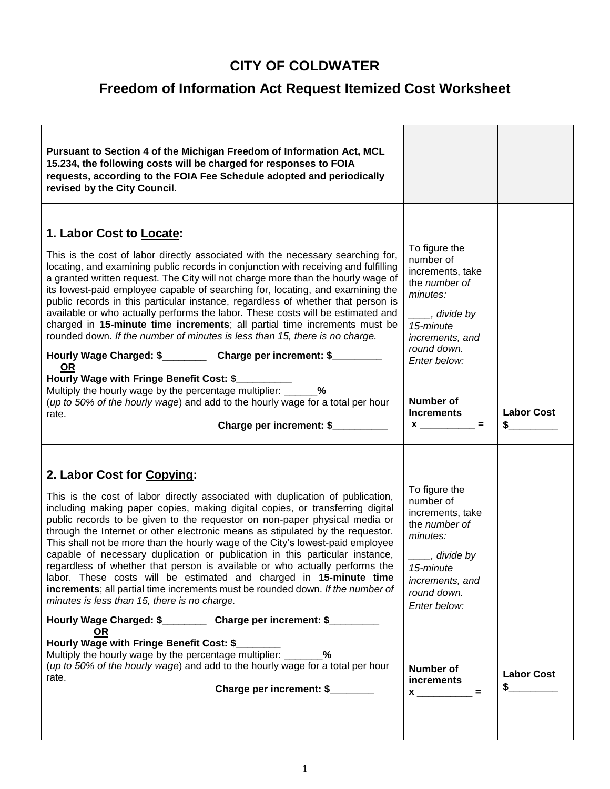## **CITY OF COLDWATER**

## **Freedom of Information Act Request Itemized Cost Worksheet**

| Pursuant to Section 4 of the Michigan Freedom of Information Act, MCL<br>15.234, the following costs will be charged for responses to FOIA<br>requests, according to the FOIA Fee Schedule adopted and periodically<br>revised by the City Council.                                                                                                                                                                                                                                                                                                                                                                                                                                                                                                                                                                                                                                                                                                                                                                                                                                                                                                  |                                                                                                                                                                                                                          |                         |
|------------------------------------------------------------------------------------------------------------------------------------------------------------------------------------------------------------------------------------------------------------------------------------------------------------------------------------------------------------------------------------------------------------------------------------------------------------------------------------------------------------------------------------------------------------------------------------------------------------------------------------------------------------------------------------------------------------------------------------------------------------------------------------------------------------------------------------------------------------------------------------------------------------------------------------------------------------------------------------------------------------------------------------------------------------------------------------------------------------------------------------------------------|--------------------------------------------------------------------------------------------------------------------------------------------------------------------------------------------------------------------------|-------------------------|
| 1. Labor Cost to Locate:<br>This is the cost of labor directly associated with the necessary searching for,<br>locating, and examining public records in conjunction with receiving and fulfilling<br>a granted written request. The City will not charge more than the hourly wage of<br>its lowest-paid employee capable of searching for, locating, and examining the<br>public records in this particular instance, regardless of whether that person is<br>available or who actually performs the labor. These costs will be estimated and<br>charged in 15-minute time increments; all partial time increments must be<br>rounded down. If the number of minutes is less than 15, there is no charge.<br>Hourly Wage Charged: \$__________ Charge per increment: \$________<br><u>OR</u><br>Hourly Wage with Fringe Benefit Cost: \$<br>Multiply the hourly wage by the percentage multiplier: _______ %<br>(up to 50% of the hourly wage) and add to the hourly wage for a total per hour<br>rate.<br>Charge per increment: \$                                                                                                                | To figure the<br>number of<br>increments, take<br>the number of<br>minutes:<br>___, divide by<br>15-minute<br>increments, and<br>round down.<br>Enter below:<br>Number of<br><b>Increments</b><br>$\equiv$               | <b>Labor Cost</b><br>\$ |
| 2. Labor Cost for Copying:<br>This is the cost of labor directly associated with duplication of publication,<br>including making paper copies, making digital copies, or transferring digital<br>public records to be given to the requestor on non-paper physical media or<br>through the Internet or other electronic means as stipulated by the requestor.<br>This shall not be more than the hourly wage of the City's lowest-paid employee<br>capable of necessary duplication or publication in this particular instance,<br>regardless of whether that person is available or who actually performs the<br>labor. These costs will be estimated and charged in 15-minute time<br>increments; all partial time increments must be rounded down. If the number of<br>minutes is less than 15, there is no charge.<br>Hourly Wage Charged: \$____________ Charge per increment: \$__________<br><u>OR</u><br>Hourly Wage with Fringe Benefit Cost: \$<br>Multiply the hourly wage by the percentage multiplier: ________%<br>(up to 50% of the hourly wage) and add to the hourly wage for a total per hour<br>rate.<br>Charge per increment: \$ | To figure the<br>number of<br>increments, take<br>the number of<br>minutes:<br>____, divide by<br>15-minute<br>increments, and<br>round down.<br>Enter below:<br>Number of<br>increments<br>$x \overline{\phantom{a}} =$ | <b>Labor Cost</b><br>S  |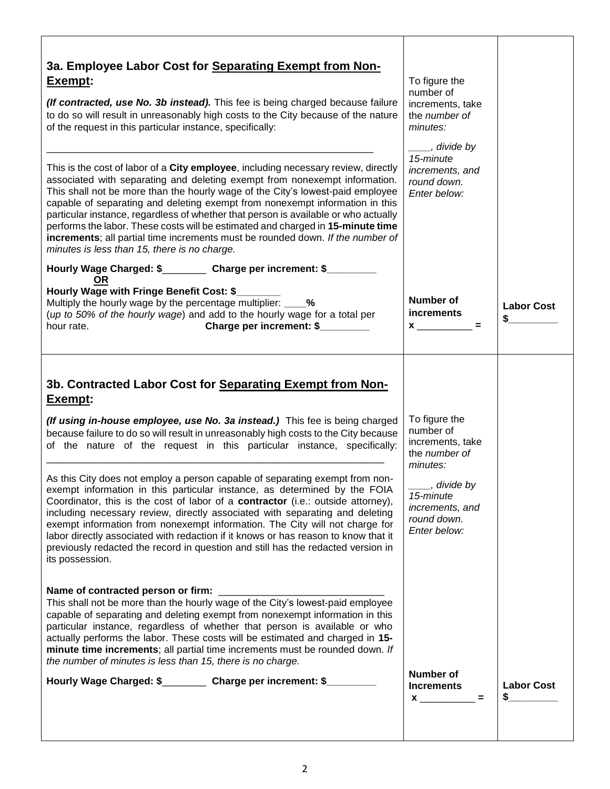| 3a. Employee Labor Cost for Separating Exempt from Non-<br>Exempt:<br>(If contracted, use No. 3b instead). This fee is being charged because failure<br>to do so will result in unreasonably high costs to the City because of the nature<br>of the request in this particular instance, specifically:<br>This is the cost of labor of a City employee, including necessary review, directly<br>associated with separating and deleting exempt from nonexempt information.<br>This shall not be more than the hourly wage of the City's lowest-paid employee<br>capable of separating and deleting exempt from nonexempt information in this<br>particular instance, regardless of whether that person is available or who actually<br>performs the labor. These costs will be estimated and charged in 15-minute time<br>increments; all partial time increments must be rounded down. If the number of<br>minutes is less than 15, there is no charge. | To figure the<br>number of<br>increments, take<br>the number of<br>minutes:<br>____, divide by<br>15-minute<br>increments, and<br>round down.<br>Enter below: |                         |
|----------------------------------------------------------------------------------------------------------------------------------------------------------------------------------------------------------------------------------------------------------------------------------------------------------------------------------------------------------------------------------------------------------------------------------------------------------------------------------------------------------------------------------------------------------------------------------------------------------------------------------------------------------------------------------------------------------------------------------------------------------------------------------------------------------------------------------------------------------------------------------------------------------------------------------------------------------|---------------------------------------------------------------------------------------------------------------------------------------------------------------|-------------------------|
| Hourly Wage Charged: \$___________ Charge per increment: \$_________<br><b>OR</b><br>Hourly Wage with Fringe Benefit Cost: \$_<br>Multiply the hourly wage by the percentage multiplier: _____%<br>(up to 50% of the hourly wage) and add to the hourly wage for a total per<br>Charge per increment: \$<br>hour rate.                                                                                                                                                                                                                                                                                                                                                                                                                                                                                                                                                                                                                                   | Number of<br><b>increments</b>                                                                                                                                | <b>Labor Cost</b><br>\$ |
| 3b. Contracted Labor Cost for Separating Exempt from Non-<br>Exempt:<br>(If using in-house employee, use No. 3a instead.) This fee is being charged<br>because failure to do so will result in unreasonably high costs to the City because<br>of the nature of the request in this particular instance, specifically:<br>As this City does not employ a person capable of separating exempt from non-<br>exempt information in this particular instance, as determined by the FOIA<br>Coordinator, this is the cost of labor of a contractor (i.e.: outside attorney),<br>including necessary review, directly associated with separating and deleting<br>exempt information from nonexempt information. The City will not charge for<br>labor directly associated with redaction if it knows or has reason to know that it<br>previously redacted the record in question and still has the redacted version in<br>its possession.                       | To figure the<br>number of<br>increments, take<br>the number of<br>minutes:<br>____, divide by<br>15-minute<br>increments, and<br>round down.<br>Enter below: |                         |
| Name of contracted person or firm: _____<br>This shall not be more than the hourly wage of the City's lowest-paid employee<br>capable of separating and deleting exempt from nonexempt information in this<br>particular instance, regardless of whether that person is available or who<br>actually performs the labor. These costs will be estimated and charged in 15-<br>minute time increments; all partial time increments must be rounded down. If<br>the number of minutes is less than 15, there is no charge.<br>Hourly Wage Charged: \$___________ Charge per increment: \$__________                                                                                                                                                                                                                                                                                                                                                         | Number of<br><b>Increments</b><br>$x$ ____________ =                                                                                                          | <b>Labor Cost</b><br>S. |